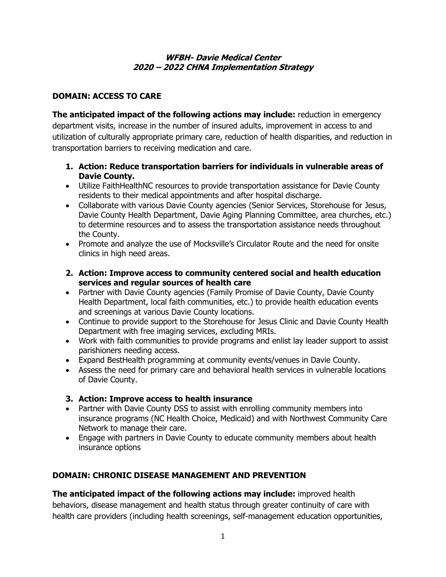#### **WFBH- Davie Medical Center 2020 – 2022 CHNA Implementation Strategy**

### **DOMAIN: ACCESS TO CARE**

**The anticipated impact of the following actions may include:** reduction in emergency department visits, increase in the number of insured adults, improvement in access to and utilization of culturally appropriate primary care, reduction of health disparities, and reduction in transportation barriers to receiving medication and care.

- **1. Action: Reduce transportation barriers for individuals in vulnerable areas of Davie County.**
- Utilize FaithHealthNC resources to provide transportation assistance for Davie County residents to their medical appointments and after hospital discharge.
- Collaborate with various Davie County agencies (Senior Services, Storehouse for Jesus, Davie County Health Department, Davie Aging Planning Committee, area churches, etc.) to determine resources and to assess the transportation assistance needs throughout the County.
- Promote and analyze the use of Mocksville's Circulator Route and the need for onsite clinics in high need areas.
- **2. Action: Improve access to community centered social and health education services and regular sources of health care**
- Partner with Davie County agencies (Family Promise of Davie County, Davie County Health Department, local faith communities, etc.) to provide health education events and screenings at various Davie County locations.
- Continue to provide support to the Storehouse for Jesus Clinic and Davie County Health Department with free imaging services, excluding MRIs.
- Work with faith communities to provide programs and enlist lay leader support to assist parishioners needing access.
- Expand BestHealth programming at community events/venues in Davie County.
- Assess the need for primary care and behavioral health services in vulnerable locations of Davie County.

### **3. Action: Improve access to health insurance**

- Partner with Davie County DSS to assist with enrolling community members into insurance programs (NC Health Choice, Medicaid) and with Northwest Community Care Network to manage their care.
- Engage with partners in Davie County to educate community members about health insurance options

## **DOMAIN: CHRONIC DISEASE MANAGEMENT AND PREVENTION**

**The anticipated impact of the following actions may include:** improved health behaviors, disease management and health status through greater continuity of care with health care providers (including health screenings, self-management education opportunities,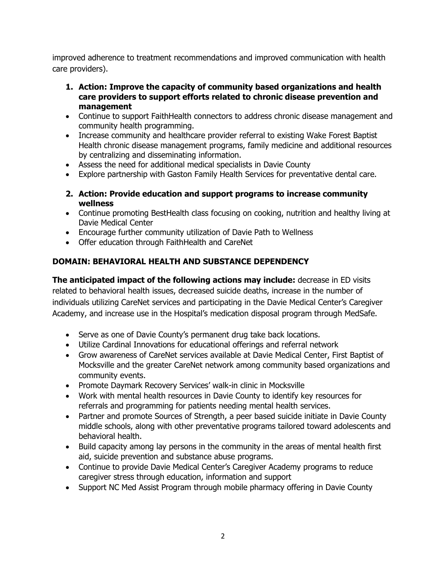improved adherence to treatment recommendations and improved communication with health care providers).

- **1. Action: Improve the capacity of community based organizations and health care providers to support efforts related to chronic disease prevention and management**
- Continue to support FaithHealth connectors to address chronic disease management and community health programming.
- Increase community and healthcare provider referral to existing Wake Forest Baptist Health chronic disease management programs, family medicine and additional resources by centralizing and disseminating information.
- Assess the need for additional medical specialists in Davie County
- Explore partnership with Gaston Family Health Services for preventative dental care.
- **2. Action: Provide education and support programs to increase community wellness**
- Continue promoting BestHealth class focusing on cooking, nutrition and healthy living at Davie Medical Center
- Encourage further community utilization of Davie Path to Wellness
- Offer education through FaithHealth and CareNet

# **DOMAIN: BEHAVIORAL HEALTH AND SUBSTANCE DEPENDENCY**

**The anticipated impact of the following actions may include:** decrease in ED visits related to behavioral health issues, decreased suicide deaths, increase in the number of individuals utilizing CareNet services and participating in the Davie Medical Center's Caregiver Academy, and increase use in the Hospital's medication disposal program through MedSafe.

- Serve as one of Davie County's permanent drug take back locations.
- Utilize Cardinal Innovations for educational offerings and referral network
- Grow awareness of CareNet services available at Davie Medical Center, First Baptist of Mocksville and the greater CareNet network among community based organizations and community events.
- Promote Daymark Recovery Services' walk-in clinic in Mocksville
- Work with mental health resources in Davie County to identify key resources for referrals and programming for patients needing mental health services.
- Partner and promote Sources of Strength, a peer based suicide initiate in Davie County middle schools, along with other preventative programs tailored toward adolescents and behavioral health.
- Build capacity among lay persons in the community in the areas of mental health first aid, suicide prevention and substance abuse programs.
- Continue to provide Davie Medical Center's Caregiver Academy programs to reduce caregiver stress through education, information and support
- Support NC Med Assist Program through mobile pharmacy offering in Davie County